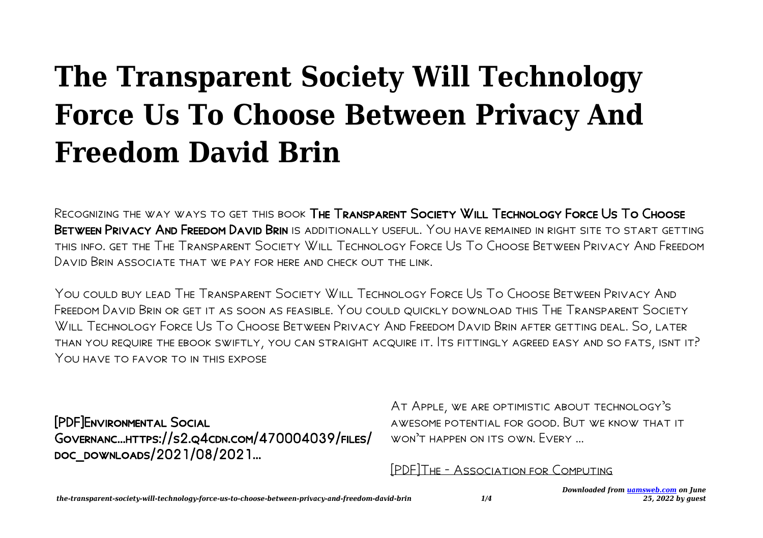# **The Transparent Society Will Technology Force Us To Choose Between Privacy And Freedom David Brin**

Recognizing the way ways to get this book The Transparent Society Will Technology Force Us To Choose BETWEEN PRIVACY AND FREEDOM DAVID BRIN IS ADDITIONALLY USEFUL. YOU HAVE REMAINED IN RIGHT SITE TO START GETTING this info. get the The Transparent Society Will Technology Force Us To Choose Between Privacy And Freedom David Brin associate that we pay for here and check out the link.

You could buy lead The Transparent Society Will Technology Force Us To Choose Between Privacy And Freedom David Brin or get it as soon as feasible. You could quickly download this The Transparent Society Will Technology Force Us To Choose Between Privacy And Freedom David Brin after getting deal. So, later than you require the ebook swiftly, you can straight acquire it. Its fittingly agreed easy and so fats, isnt it? YOU HAVE TO FAVOR TO IN THIS EXPOSE

[PDF]Environmental Social Governanc…https://s2.q4cdn.com/470004039/files/ doc\_downloads/2021/08/2021...

At Apple, we are optimistic about technology's awesome potential for good. But we know that it won't happen on its own. Every …

[PDF]The - Association for Computing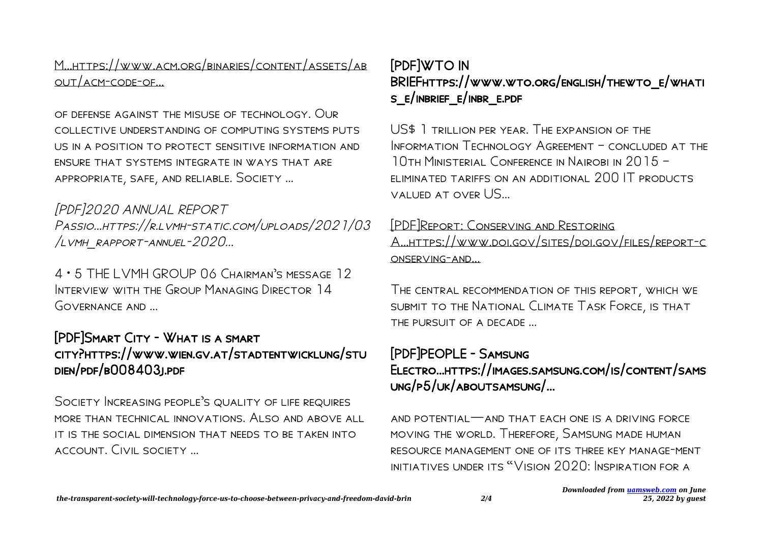M…https://www.acm.org/binaries/content/assets/ab out/acm-code-of...

of defense against the misuse of technology. Our collective understanding of computing systems puts us in a position to protect sensitive information and ensure that systems integrate in ways that are appropriate, safe, and reliable. Society …

[PDF]2020 ANNUAL REPORT Passio…https://r.lvmh-static.com/uploads/2021/03 /lvmh\_rapport-annuel-2020...

4 • 5 THE LVMH GROUP 06 Chairman's message 12 Interview with the Group Managing Director 14 GOVERNANCE AND

#### [PDF]Smart City - What is a smart city?https://www.wien.gv.at/stadtentwicklung/stu dien/pdf/b008403j.pdf

Society Increasing people's quality of life requires more than technical innovations. Also and above all it is the social dimension that needs to be taken into account. Civil society …

#### [PDF]WTO IN BRIEFhttps://www.wto.org/english/thewto\_e/whati s\_e/inbrief\_e/inbr\_e.pdf

US\$ 1 trillion per year. The expansion of the INFORMATION TECHNOLOGY AGREEMENT - CONCLUDED AT THE 10th Ministerial Conference in Nairobi in 2015 – eliminated tariffs on an additional 200 IT products valued at over US…

#### [PDF]Report: Conserving and Restoring

A…https://www.doi.gov/sites/doi.gov/files/report-c onserving-and...

The central recommendation of this report, which we submit to the National Climate Task Force, is that the pursuit of a decade …

# [PDF]PEOPLE - Samsung Electro…https://images.samsung.com/is/content/sams ung/p5/uk/aboutsamsung/...

and potential—and that each one is a driving force moving the world. Therefore, Samsung made human resource management one of its three key manage-ment initiatives under its "Vision 2020: Inspiration for a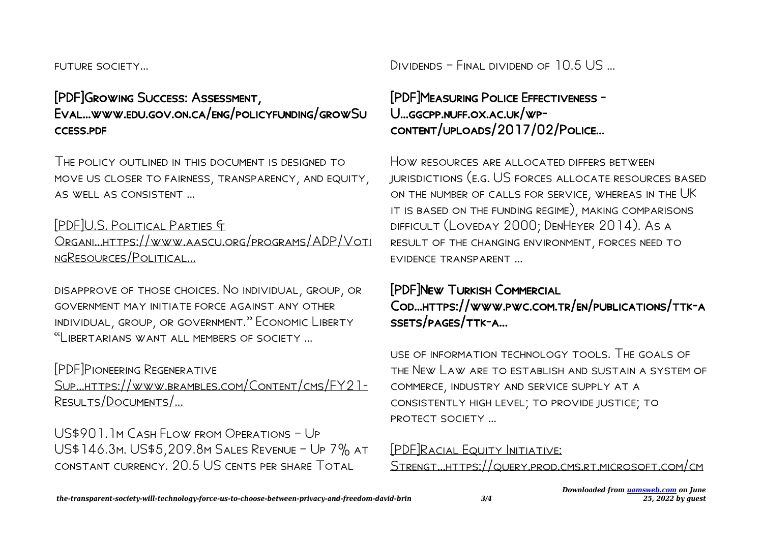future society…

## [PDF]Growing Success: Assessment, Eval…www.edu.gov.on.ca/eng/policyfunding/growSu ccess.pdf

The policy outlined in this document is designed to move us closer to fairness, transparency, and equity, as well as consistent …

#### [PDF]U.S. Political Parties &

Organi…https://www.aascu.org/programs/ADP/Voti ngResources/Political...

disapprove of those choices. No individual, group, or government may initiate force against any other individual, group, or government." Economic Liberty "Libertarians want all members of society …

#### [PDF]Pioneering Regenerative

Sup…https://www.brambles.com/Content/cms/FY21- Results/Documents/...

US\$901.1m Cash Flow from Operations – Up US\$146.3m. US\$5,209.8m Sales Revenue – Up 7% at constant currency. 20.5 US cents per share Total

Dividends – Final dividend of 10.5 US …

# [PDF]Measuring Police Effectiveness - U…ggcpp.nuff.ox.ac.uk/wpcontent/uploads/2017/02/Police...

HOW RESOURCES ARE ALLOCATED DIFFERS BETWEEN jurisdictions (e.g. US forces allocate resources based on the number of calls for service, whereas in the UK it is based on the funding regime), making comparisons difficult (Loveday 2000; DenHeyer 2014). As a result of the changing environment, forces need to evidence transparent …

## [PDF]New Turkish Commercial Cod…https://www.pwc.com.tr/en/publications/ttk-a ssets/pages/ttk-a...

use of information technology tools. The goals of the New Law are to establish and sustain a system of commerce, industry and service supply at a consistently high level; to provide justice; to protect society …

# [PDF]Racial Equity Initiative:

Strengt…https://query.prod.cms.rt.microsoft.com/cm